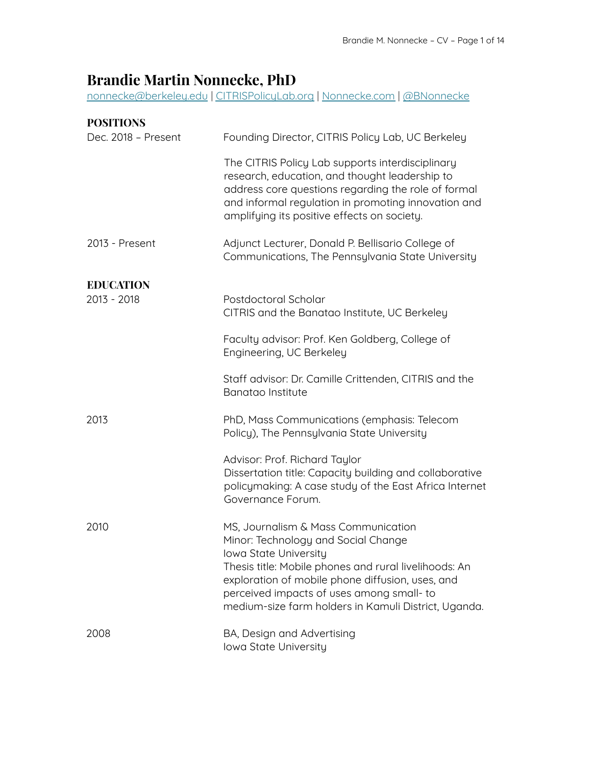# **Brandie Martin Nonnecke, PhD**

[nonnecke@berkeley.edu](mailto:nonnecke@berkeley.edu) | [CITRISPolicyLab.org](https://citrispolicylab.org/) | [Nonnecke.com](https://nonnecke.com/) | [@BNonnecke](https://twitter.com/BNonnecke)

| <b>POSITIONS</b>    |                                                                                                                                                                                                                                                                                                                      |
|---------------------|----------------------------------------------------------------------------------------------------------------------------------------------------------------------------------------------------------------------------------------------------------------------------------------------------------------------|
| Dec. 2018 - Present | Founding Director, CITRIS Policy Lab, UC Berkeley                                                                                                                                                                                                                                                                    |
|                     | The CITRIS Policy Lab supports interdisciplinary<br>research, education, and thought leadership to<br>address core questions regarding the role of formal<br>and informal regulation in promoting innovation and<br>amplifying its positive effects on society.                                                      |
| 2013 - Present      | Adjunct Lecturer, Donald P. Bellisario College of<br>Communications, The Pennsylvania State University                                                                                                                                                                                                               |
| <b>EDUCATION</b>    |                                                                                                                                                                                                                                                                                                                      |
| 2013 - 2018         | Postdoctoral Scholar<br>CITRIS and the Banatao Institute, UC Berkeley                                                                                                                                                                                                                                                |
|                     | Faculty advisor: Prof. Ken Goldberg, College of<br>Engineering, UC Berkeley                                                                                                                                                                                                                                          |
|                     | Staff advisor: Dr. Camille Crittenden, CITRIS and the<br>Banatao Institute                                                                                                                                                                                                                                           |
| 2013                | PhD, Mass Communications (emphasis: Telecom<br>Policy), The Pennsylvania State University                                                                                                                                                                                                                            |
|                     | Advisor: Prof. Richard Taylor<br>Dissertation title: Capacity building and collaborative<br>policymaking: A case study of the East Africa Internet<br>Governance Forum.                                                                                                                                              |
| 2010                | MS, Journalism & Mass Communication<br>Minor: Technology and Social Change<br>Iowa State University<br>Thesis title: Mobile phones and rural livelihoods: An<br>exploration of mobile phone diffusion, uses, and<br>perceived impacts of uses among small-to<br>medium-size farm holders in Kamuli District, Uganda. |
| 2008                | BA, Design and Advertising<br>Iowa State University                                                                                                                                                                                                                                                                  |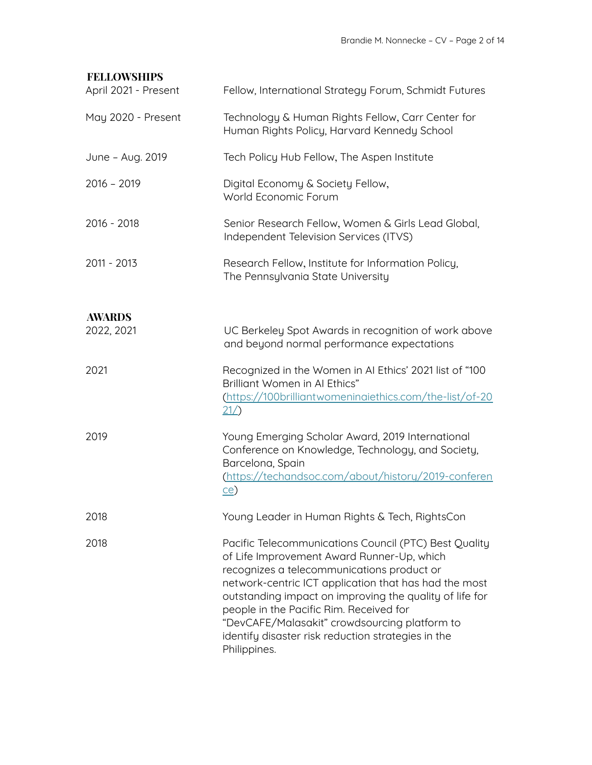# **FELLOWSHIPS**

| April 2021 - Present | Fellow, International Strategy Forum, Schmidt Futures                                                                                                                                                                                                                                                                                                                                                                                   |
|----------------------|-----------------------------------------------------------------------------------------------------------------------------------------------------------------------------------------------------------------------------------------------------------------------------------------------------------------------------------------------------------------------------------------------------------------------------------------|
| May 2020 - Present   | Technology & Human Rights Fellow, Carr Center for<br>Human Rights Policy, Harvard Kennedy School                                                                                                                                                                                                                                                                                                                                        |
| June - Aug. 2019     | Tech Policy Hub Fellow, The Aspen Institute                                                                                                                                                                                                                                                                                                                                                                                             |
| $2016 - 2019$        | Digital Economy & Society Fellow,<br>World Economic Forum                                                                                                                                                                                                                                                                                                                                                                               |
| 2016 - 2018          | Senior Research Fellow, Women & Girls Lead Global,<br>Independent Television Services (ITVS)                                                                                                                                                                                                                                                                                                                                            |
| 2011 - 2013          | Research Fellow, Institute for Information Policy,<br>The Pennsylvania State University                                                                                                                                                                                                                                                                                                                                                 |
| <b>AWARDS</b>        |                                                                                                                                                                                                                                                                                                                                                                                                                                         |
| 2022, 2021           | UC Berkeley Spot Awards in recognition of work above<br>and beyond normal performance expectations                                                                                                                                                                                                                                                                                                                                      |
| 2021                 | Recognized in the Women in AI Ethics' 2021 list of "100<br>Brilliant Women in AI Ethics"<br>(https://100brilliantwomeninaiethics.com/the-list/of-20<br>21/                                                                                                                                                                                                                                                                              |
| 2019                 | Young Emerging Scholar Award, 2019 International<br>Conference on Knowledge, Technology, and Society,<br>Barcelona, Spain<br>(https://techandsoc.com/about/history/2019-conferen<br>ce)                                                                                                                                                                                                                                                 |
| 2018                 | Young Leader in Human Rights & Tech, RightsCon                                                                                                                                                                                                                                                                                                                                                                                          |
| 2018                 | Pacific Telecommunications Council (PTC) Best Quality<br>of Life Improvement Award Runner-Up, which<br>recognizes a telecommunications product or<br>network-centric ICT application that has had the most<br>outstanding impact on improving the quality of life for<br>people in the Pacific Rim. Received for<br>"DevCAFE/Malasakit" crowdsourcing platform to<br>identify disaster risk reduction strategies in the<br>Philippines. |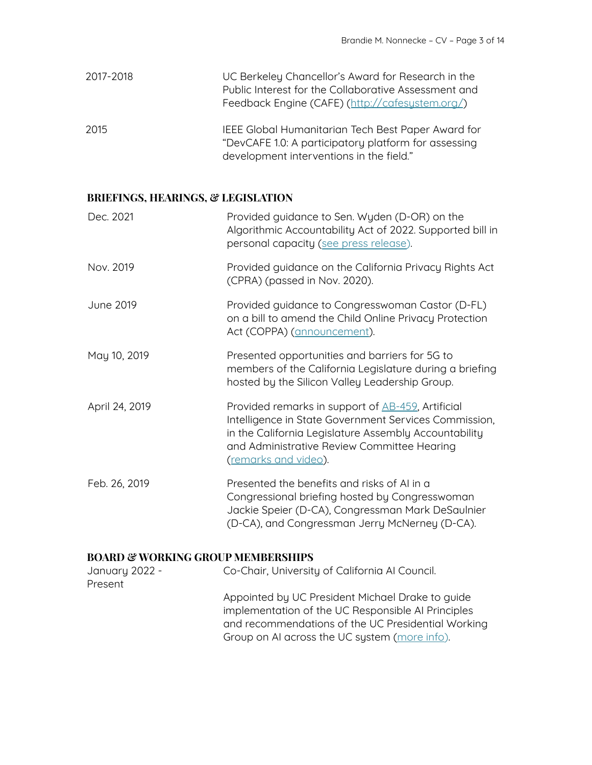| 2017-2018 | UC Berkeley Chancellor's Award for Research in the   |
|-----------|------------------------------------------------------|
|           | Public Interest for the Collaborative Assessment and |
|           | Feedback Engine (CAFE) (http://cafesustem.org/)      |
|           |                                                      |

2015 IEEE Global Humanitarian Tech Best Paper Award for "DevCAFE 1.0: A participatory platform for assessing development interventions in the field."

# **BRIEFINGS, HEARINGS, & LEGISLATION**

| Dec. 2021      | Provided guidance to Sen. Wyden (D-OR) on the<br>Algorithmic Accountability Act of 2022. Supported bill in<br>personal capacity (see press release).                                                                                                       |
|----------------|------------------------------------------------------------------------------------------------------------------------------------------------------------------------------------------------------------------------------------------------------------|
| Nov. 2019      | Provided guidance on the California Privacy Rights Act<br>(CPRA) (passed in Nov. 2020).                                                                                                                                                                    |
| June 2019      | Provided guidance to Congresswoman Castor (D-FL)<br>on a bill to amend the Child Online Privacy Protection<br>Act (COPPA) (announcement).                                                                                                                  |
| May 10, 2019   | Presented opportunities and barriers for 5G to<br>members of the California Legislature during a briefing<br>hosted by the Silicon Valley Leadership Group.                                                                                                |
| April 24, 2019 | Provided remarks in support of <b>AB-459</b> , Artificial<br>Intelligence in State Government Services Commission,<br>in the California Legislature Assembly Accountability<br>and Administrative Review Committee Hearing<br><u>(remarks and video)</u> . |
| Feb. 26, 2019  | Presented the benefits and risks of AI in a<br>Congressional briefing hosted by Congresswoman<br>Jackie Speier (D-CA), Congressman Mark DeSaulnier<br>(D-CA), and Congressman Jerry McNerney (D-CA).                                                       |

# **BOARD & WORKING GROUP MEMBERSHIPS**

| January 2022 - | Co-Chair, University of California Al Council.                                                                                                                                                                |
|----------------|---------------------------------------------------------------------------------------------------------------------------------------------------------------------------------------------------------------|
| Present        |                                                                                                                                                                                                               |
|                | Appointed by UC President Michael Drake to guide<br>implementation of the UC Responsible AI Principles<br>and recommendations of the UC Presidential Working<br>Group on AI across the UC system (more info). |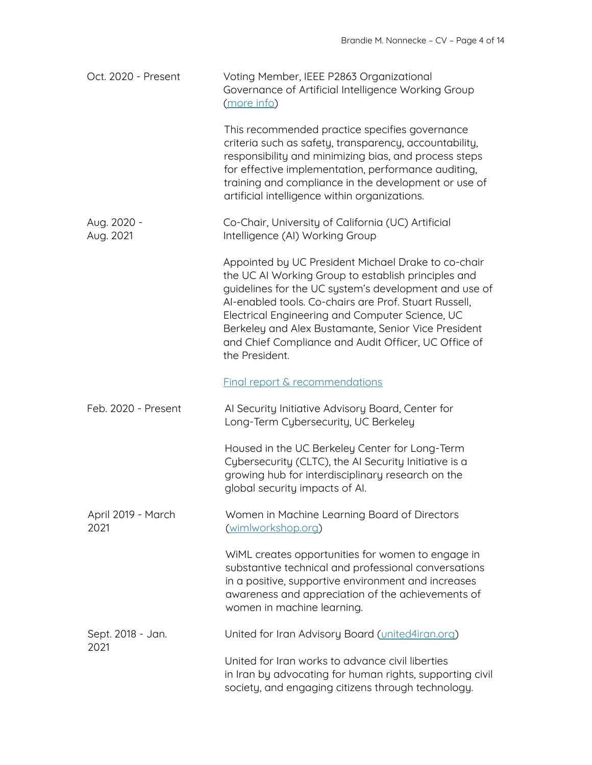| Oct. 2020 - Present        | Voting Member, IEEE P2863 Organizational<br>Governance of Artificial Intelligence Working Group<br>(more info)                                                                                                                                                                                                                                                                                                   |
|----------------------------|------------------------------------------------------------------------------------------------------------------------------------------------------------------------------------------------------------------------------------------------------------------------------------------------------------------------------------------------------------------------------------------------------------------|
|                            | This recommended practice specifies governance<br>criteria such as safety, transparency, accountability,<br>responsibility and minimizing bias, and process steps<br>for effective implementation, performance auditing,<br>training and compliance in the development or use of<br>artificial intelligence within organizations.                                                                                |
| Aug. 2020 -<br>Aug. 2021   | Co-Chair, University of California (UC) Artificial<br>Intelligence (AI) Working Group                                                                                                                                                                                                                                                                                                                            |
|                            | Appointed by UC President Michael Drake to co-chair<br>the UC AI Working Group to establish principles and<br>guidelines for the UC system's development and use of<br>Al-enabled tools. Co-chairs are Prof. Stuart Russell.<br>Electrical Engineering and Computer Science, UC<br>Berkeley and Alex Bustamante, Senior Vice President<br>and Chief Compliance and Audit Officer, UC Office of<br>the President. |
|                            | <b>Final report &amp; recommendations</b>                                                                                                                                                                                                                                                                                                                                                                        |
| Feb. 2020 - Present        | Al Security Initiative Advisory Board, Center for<br>Long-Term Cybersecurity, UC Berkeley                                                                                                                                                                                                                                                                                                                        |
|                            | Housed in the UC Berkeley Center for Long-Term<br>Cybersecurity (CLTC), the AI Security Initiative is a<br>growing hub for interdisciplinary research on the<br>global security impacts of AI.                                                                                                                                                                                                                   |
| April 2019 - March<br>2021 | Women in Machine Learning Board of Directors<br>(wimlworkshop.org)                                                                                                                                                                                                                                                                                                                                               |
|                            | WiML creates opportunities for women to engage in<br>substantive technical and professional conversations<br>in a positive, supportive environment and increases<br>awareness and appreciation of the achievements of<br>women in machine learning.                                                                                                                                                              |
| Sept. 2018 - Jan.<br>2021  | United for Iran Advisory Board (united4iran.org)                                                                                                                                                                                                                                                                                                                                                                 |
|                            | United for Iran works to advance civil liberties<br>in Iran by advocating for human rights, supporting civil<br>society, and engaging citizens through technology.                                                                                                                                                                                                                                               |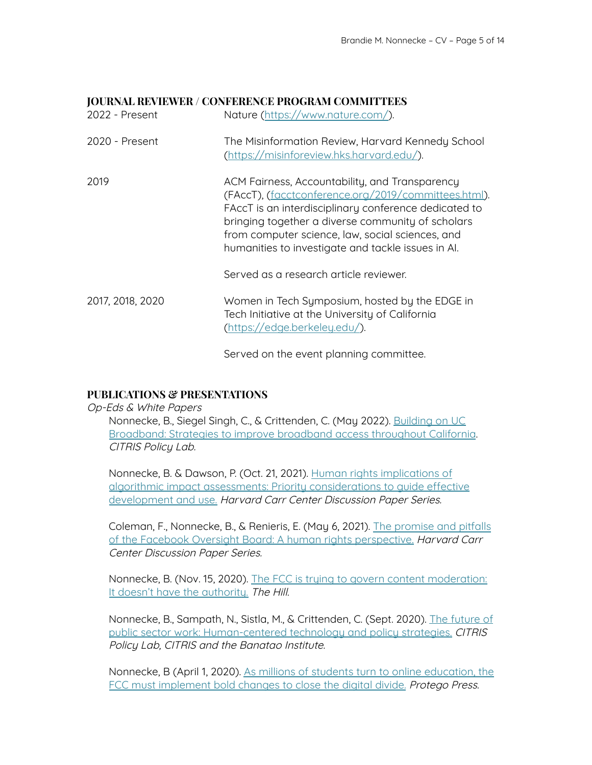## **JOURNAL REVIEWER / CONFERENCE PROGRAM COMMITTEES**

| 2022 - Present   | Nature (https://www.nature.com/).                                                                                                                                                                                                                                                                                              |
|------------------|--------------------------------------------------------------------------------------------------------------------------------------------------------------------------------------------------------------------------------------------------------------------------------------------------------------------------------|
| 2020 - Present   | The Misinformation Review, Harvard Kennedy School<br>(https://misinforeview.hks.harvard.edu/).                                                                                                                                                                                                                                 |
| 2019             | ACM Fairness, Accountability, and Transparency<br>(FAccT), (facctconference.org/2019/committees.html).<br>FAccT is an interdisciplinary conference dedicated to<br>bringing together a diverse community of scholars<br>from computer science, law, social sciences, and<br>humanities to investigate and tackle issues in Al. |
|                  | Served as a research article reviewer.                                                                                                                                                                                                                                                                                         |
| 2017, 2018, 2020 | Women in Tech Symposium, hosted by the EDGE in<br>Tech Initiative at the University of California<br>(https://edge.berkeley.edu/).                                                                                                                                                                                             |

Served on the event planning committee.

# **PUBLICATIONS & PRESENTATIONS**

Op-Eds & White Papers

Nonnecke, B., Siegel Singh, C., & Crittenden, C. (May 2022). [Building](https://citrispolicylab.org/wp-content/uploads/2022/05/Building-on-UC-Broadband.pdf) on UC [Broadband:](https://citrispolicylab.org/wp-content/uploads/2022/05/Building-on-UC-Broadband.pdf) Strategies to improve broadband access throughout California. CITRIS Policy Lab.

Nonnecke, B. & Dawson, P. (Oct. 21, 2021). Human rights [implications](https://carrcenter.hks.harvard.edu/publications/human-rights-implications-algorithmic-impact-assessments-priority-considerations) of algorithmic impact assessments: Priority [considerations](https://carrcenter.hks.harvard.edu/publications/human-rights-implications-algorithmic-impact-assessments-priority-considerations) to guide effective [development](https://carrcenter.hks.harvard.edu/publications/human-rights-implications-algorithmic-impact-assessments-priority-considerations) and use. Harvard Carr Center Discussion Paper Series.

Coleman, F., Nonnecke, B., & Renieris, E. (May 6, 2021). The [promise](https://carrcenter.hks.harvard.edu/files/cchr/files/facebook_oversight_board.pdf) and pitfalls of the Facebook Oversight Board: A human rights [perspective.](https://carrcenter.hks.harvard.edu/files/cchr/files/facebook_oversight_board.pdf) Harvard Carr Center Discussion Paper Series.

Nonnecke, B. (Nov. 15, 2020). The FCC is trying to govern content [moderation:](https://thehill.com/opinion/technology/526066-the-fcc-is-trying-to-govern-content-moderation-it-doesnt-have-the) It doesn't have the [authority.](https://thehill.com/opinion/technology/526066-the-fcc-is-trying-to-govern-content-moderation-it-doesnt-have-the) The Hill.

Nonnecke, B., Sampath, N., Sistla, M., & Crittenden, C. (Sept. 2020). The [future](https://citrispolicylab.org/wp-content/uploads/2020/09/The-Future-of-Public-Sector-Work-Report-The-CITRIS-Policy-Lab.pdf) of public sector work: [Human-centered](https://citrispolicylab.org/wp-content/uploads/2020/09/The-Future-of-Public-Sector-Work-Report-The-CITRIS-Policy-Lab.pdf) technology and policy strategies. CITRIS Policy Lab, CITRIS and the Banatao Institute.

Nonnecke, B (April 1, 2020). As millions of students turn to online [education,](https://protegopress.com/as-millions-of-students-turn-to-online-education-its-time-the-fcc-implements-bold-changes-to-close-the-digital-divide/) the FCC must [implement](https://protegopress.com/as-millions-of-students-turn-to-online-education-its-time-the-fcc-implements-bold-changes-to-close-the-digital-divide/) bold changes to close the digital divide. Protego Press.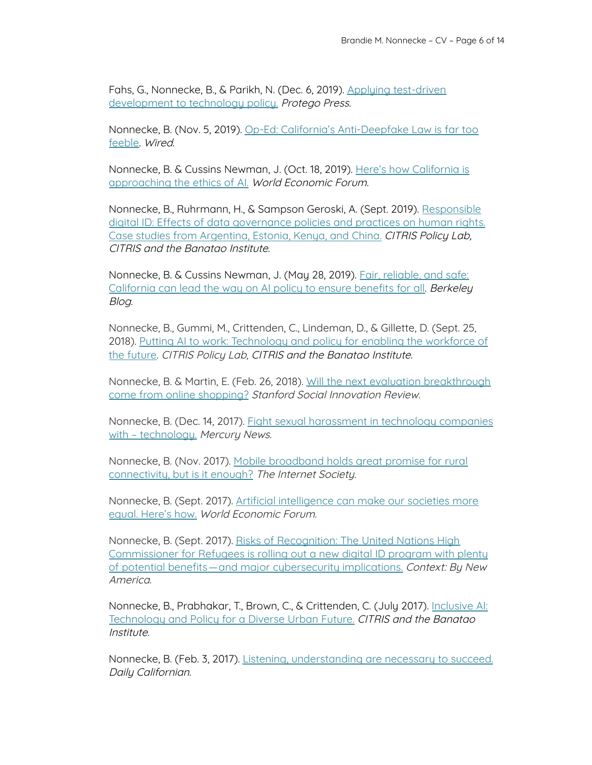Fahs, G., Nonnecke, B., & Parikh, N. (Dec. 6, 2019). Applying [test-driven](https://protegopress.com/applying-test-driven-development-to-technology-policy/) [development](https://protegopress.com/applying-test-driven-development-to-technology-policy/) to technology policy. Protego Press.

Nonnecke, B. (Nov. 5, 2019). Op-Ed: California's [Anti-Deepfake](https://www.wired.com/story/opinion-californias-anti-deepfake-law-is-far-too-feeble/) Law is far too [feeble.](https://www.wired.com/story/opinion-californias-anti-deepfake-law-is-far-too-feeble/) Wired.

Nonnecke, B. & Cussins Newman, J. (Oct. 18, 2019). Here's how [California](https://www.weforum.org/agenda/2019/10/ai-tech-ethics-california-facial-recognition/) is [approaching](https://www.weforum.org/agenda/2019/10/ai-tech-ethics-california-facial-recognition/) the ethics of AI. World Economic Forum.

Nonnecke, B., Ruhrmann, H., & Sampson Geroski, A. (Sept. 2019). [Responsible](https://citrispolicylab.org/wp-content/uploads/2019/09/Responsible-Digital-ID_CITRIS-Policy-Lab_September-2019.pdf) digital ID: Effects of data [governance](https://citrispolicylab.org/wp-content/uploads/2019/09/Responsible-Digital-ID_CITRIS-Policy-Lab_September-2019.pdf) policies and practices on human rights. Case studies from [Argentina,](https://citrispolicylab.org/wp-content/uploads/2019/09/Responsible-Digital-ID_CITRIS-Policy-Lab_September-2019.pdf) Estonia, Kenya, and China. CITRIS Policy Lab, CITRIS and the Banatao Institute.

Nonnecke, B. & Cussins Newman, J. (May 28, 2019). Fair, [reliable,](https://blogs.berkeley.edu/2019/05/28/fair-reliable-and-safe-california-can-lead-the-way-on-ai-policy-to-ensure-benefits-for-all/) and safe: [California](https://blogs.berkeley.edu/2019/05/28/fair-reliable-and-safe-california-can-lead-the-way-on-ai-policy-to-ensure-benefits-for-all/) can lead the way on AI policy to ensure benefits for all. **Berkeley** Blog.

Nonnecke, B., Gummi, M., Crittenden, C., Lindeman, D., & Gillette, D. (Sept. 25, 2018). Putting AI to work: [Technology](https://citrispolicylab.org/wp-content/uploads/2018/11/Putting-AI-To-Work_CITRIS_Sept-2018.pdf) and policy for enabling the workforce of the [future](https://citrispolicylab.org/wp-content/uploads/2018/11/Putting-AI-To-Work_CITRIS_Sept-2018.pdf). CITRIS Policy Lab, CITRIS and the Banatao Institute.

Nonnecke, B. & Martin, E. (Feb. 26, 2018). Will the next evaluation [breakthrough](https://ssir.org/articles/entry/will_the_next_evaluation_breakthrough_come_from_online_shopping) come from online [shopping?](https://ssir.org/articles/entry/will_the_next_evaluation_breakthrough_come_from_online_shopping) Stanford Social Innovation Review.

Nonnecke, B. (Dec. 14, 2017). Fight sexual [harassment](https://www.mercurynews.com/2017/12/13/opinion-fight-sexual-harassment-in-technology-companies-with-technology/) in technology companies with - [technology.](https://www.mercurynews.com/2017/12/13/opinion-fight-sexual-harassment-in-technology-companies-with-technology/) Mercury News.

Nonnecke, B. (Nov. 2017). Mobile [broadband](https://www.sfbayisoc.org/2017/11/07/rural-connectivity/) holds great promise for rural [connectivity,](https://www.sfbayisoc.org/2017/11/07/rural-connectivity/) but is it enough? The Internet Society.

Nonnecke, B. (Sept. 2017). Artificial [intelligence](https://www.weforum.org/agenda/2017/09/applying-ai-to-enable-an-equitable-digital-economy-and-society/) can make our societies more equal. [Here's](https://www.weforum.org/agenda/2017/09/applying-ai-to-enable-an-equitable-digital-economy-and-society/) how. World Economic Forum.

Nonnecke, B. (Sept. 2017). Risks of [Recognition:](https://www.newamerica.org/cybersecurity-initiative/humans-of-cybersecurity/blog/risks-of-recognition/) The United Nations High [Commissioner](https://www.newamerica.org/cybersecurity-initiative/humans-of-cybersecurity/blog/risks-of-recognition/) for Refugees is rolling out a new digital ID program with plenty of potential [benefits—and](https://www.newamerica.org/cybersecurity-initiative/humans-of-cybersecurity/blog/risks-of-recognition/) major cybersecurity implications. Context: By New America.

Nonnecke, B., Prabhakar, T., Brown, C., & Crittenden, C. (July 2017). [Inclusive](https://citrispolicylab.org/wp-content/uploads/2018/11/Inclusive-AI_CITRIS_July-2017.pdf) AI: [Technology](https://citrispolicylab.org/wp-content/uploads/2018/11/Inclusive-AI_CITRIS_July-2017.pdf) and Policy for a Diverse Urban Future. CITRIS and the Banatao Institute.

Nonnecke, B. (Feb. 3, 2017). Listening, [understanding](https://www.dailycal.org/2017/02/03/letter-editor-listening-understanding-necessary-succeed/) are necessary to succeed. Daily Californian.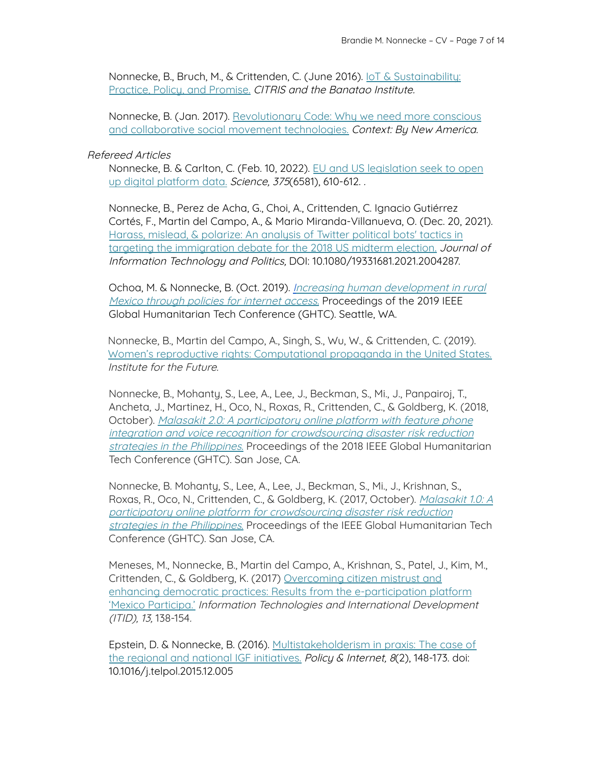Nonnecke, B., Bruch, M., & Crittenden, C. (June 2016). IoT & [Sustainability:](https://citrispolicylab.org/wp-content/uploads/2018/11/CITRIS_IoT-and-Sustainability_June-2016.pdf) [Practice,](https://citrispolicylab.org/wp-content/uploads/2018/11/CITRIS_IoT-and-Sustainability_June-2016.pdf) Policy, and Promise. CITRIS and the Banatao Institute.

Nonnecke, B. (Jan. 2017). [Revolutionary](https://www.newamerica.org/cybersecurity-initiative/humans-of-cybersecurity/blog/revolutionary-code/) Code: Why we need more conscious and collaborative social movement [technologies.](https://www.newamerica.org/cybersecurity-initiative/humans-of-cybersecurity/blog/revolutionary-code/) Context: By New America.

## Refereed Articles

Nonnecke, B. & Carlton, C. (Feb. 10, 2022). EU and US [legislation](https://www.science.org/doi/10.1126/science.abl8537) seek to open up digital [platform](https://www.science.org/doi/10.1126/science.abl8537) data. Science, 375(6581), 610-612.

Nonnecke, B., Perez de Acha, G., Choi, A., Crittenden, C. Ignacio Gutiérrez Cortés, F., Martin del Campo, A., & Mario Miranda-Villanueva, O. (Dec. 20, 2021). Harass, mislead, & [polarize:](https://www.tandfonline.com/doi/full/10.1080/19331681.2021.2004287) An analysis of Twitter political bots' tactics in targeting the [immigration](https://www.tandfonline.com/doi/full/10.1080/19331681.2021.2004287) debate for the 2018 US midterm election. Journal of Information Technology and Politics, DOI: 10.1080/19331681.2021.2004287.

Ochoa, M. & Nonnecke, B. (Oct. 2019). Increasing human [development](https://ieeexplore.ieee.org/abstract/document/9033040) in rural Mexico [through](https://ieeexplore.ieee.org/abstract/document/9033040) policies for internet access. Proceedings of the 2019 IEEE Global Humanitarian Tech Conference (GHTC). Seattle, WA.

Nonnecke, B., Martin del Campo, A., Singh, S., Wu, W., & Crittenden, C. (2019). Women's reproductive rights: [Computational](https://www.iftf.org/fileadmin/user_upload/downloads/ourwork/IFTF_WomenReproductiveRights_comp.prop_W_05.07.19.pdf) propaganda in the United States. Institute for the Future.

Nonnecke, B., Mohanty, S., Lee, A., Lee, J., Beckman, S., Mi., J., Panpairoj, T., Ancheta, J., Martinez, H., Oco, N., Roxas, R., Crittenden, C., & Goldberg, K. (2018, October). Malasakit 2.0: A [participatory](https://ieeexplore.ieee.org/document/8601882) online platform with feature phone integration and voice recognition for [crowdsourcing](https://ieeexplore.ieee.org/document/8601882) disaster risk reduction strategies in the [Philippines.](https://ieeexplore.ieee.org/document/8601882) Proceedings of the 2018 IEEE Global Humanitarian Tech Conference (GHTC). San Jose, CA.

Nonnecke, B. Mohanty, S., Lee, A., Lee, J., Beckman, S., Mi., J., Krishnan, S., Roxas, R., Oco, N., Crittenden, C., & Goldberg, K. (2017, October). [Malasakit](https://ieeexplore.ieee.org/document/8239265) 1.0: A participatory online platform for [crowdsourcing](https://ieeexplore.ieee.org/document/8239265) disaster risk reduction strategies in the [Philippines](https://ieeexplore.ieee.org/document/8239265). Proceedings of the IEEE Global Humanitarian Tech Conference (GHTC). San Jose, CA.

Meneses, M., Nonnecke, B., Martin del Campo, A., Krishnan, S., Patel, J., Kim, M., Crittenden, C., & Goldberg, K. (2017) [Overcoming](https://itidjournal.org/index.php/itid/article/download/1526/1526-4725-1-PB.pdf) citizen mistrust and enhancing democratic practices: Results from the [e-participation](https://itidjournal.org/index.php/itid/article/download/1526/1526-4725-1-PB.pdf) platform 'Mexico [Participa.'](https://itidjournal.org/index.php/itid/article/download/1526/1526-4725-1-PB.pdf) Information Technologies and International Development (ITID), 13, 138-154.

Epstein, D. & Nonnecke, B. (2016). [Multistakeholderism](https://onlinelibrary.wiley.com/doi/abs/10.1002/poi3.116) in praxis: The case of the regional and national IGF [initiatives.](https://onlinelibrary.wiley.com/doi/abs/10.1002/poi3.116) Policy & Internet, 8(2), 148-173. doi: 10.1016/j.telpol.2015.12.005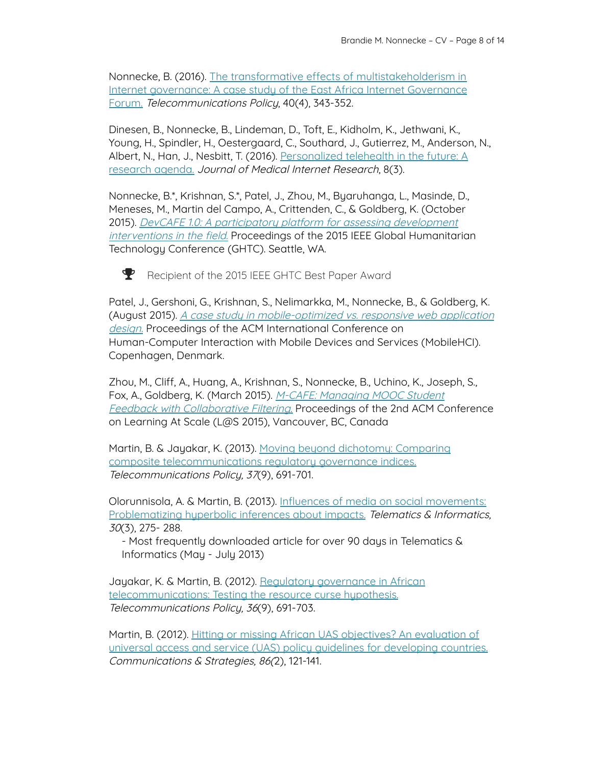Nonnecke, B. (2016). The transformative effects of [multistakeholderism](https://www.sciencedirect.com/science/article/abs/pii/S0308596115002049) in Internet [governance:](https://www.sciencedirect.com/science/article/abs/pii/S0308596115002049) A case study of the East Africa Internet Governance [Forum.](https://www.sciencedirect.com/science/article/abs/pii/S0308596115002049) Telecommunications Policy, 40(4), 343-352.

Dinesen, B., Nonnecke, B., Lindeman, D., Toft, E., Kidholm, K., Jethwani, K., Young, H., Spindler, H., Oestergaard, C., Southard, J., Gutierrez, M., Anderson, N., Albert, N., Han, J., Nesbitt, T. (2016). [Personalized](https://www.jmir.org/2016/3/e53/) telehealth in the future: A [research](https://www.jmir.org/2016/3/e53/) agenda. Journal of Medical Internet Research, 8(3).

Nonnecke, B.\*, Krishnan, S.\*, Patel, J., Zhou, M., Byaruhanga, L., Masinde, D., Meneses, M., Martin del Campo, A., Crittenden, C., & Goldberg, K. (October 2015). DevCAFE 1.0: A participatory platform for assessing [development](https://ieeexplore.ieee.org/document/7344009) [interventions](https://ieeexplore.ieee.org/document/7344009) in the field. Proceedings of the 2015 IEEE Global Humanitarian Technology Conference (GHTC). Seattle, WA.



Recipient of the 2015 IEEE GHTC Best Paper Award

Patel, J., Gershoni, G., Krishnan, S., Nelimarkka, M., Nonnecke, B., & Goldberg, K. (August 2015). A case study in [mobile-optimized](https://dl.acm.org/doi/10.1145/2786567.2787135) vs. responsive web application [design.](https://dl.acm.org/doi/10.1145/2786567.2787135) Proceedings of the ACM International Conference on Human-Computer Interaction with Mobile Devices and Services (MobileHCI). Copenhagen, Denmark.

Zhou, M., Cliff, A., Huang, A., Krishnan, S., Nonnecke, B., Uchino, K., Joseph, S., Fox, A., Goldberg, K. (March 2015). M-CAFE: [Managing](https://escholarship.org/uc/item/61c9d9tz) MOOC Student Feedback with [Collaborative](https://escholarship.org/uc/item/61c9d9tz) Filtering. Proceedings of the 2nd ACM Conference on Learning At Scale (L@S 2015), Vancouver, BC, Canada

Martin, B. & Jayakar, K. (2013). Moving beyond dichotomy: [Comparing](https://papers.ssrn.com/sol3/papers.cfm?abstract_id=2031254) composite [telecommunications](https://papers.ssrn.com/sol3/papers.cfm?abstract_id=2031254) regulatory governance indices. Telecommunications Policy, 37(9), 691-701.

Olorunnisola, A. & Martin, B. (2013). Influences of media on social [movements:](https://www.sciencedirect.com/science/article/abs/pii/S0736585312000226) [Problematizing](https://www.sciencedirect.com/science/article/abs/pii/S0736585312000226) hyperbolic inferences about impacts. Telematics & Informatics, 30(3), 275- 288.

- Most frequently downloaded article for over 90 days in Telematics & Informatics (May - July 2013)

Jayakar, K. & Martin, B. (2012). Regulatory [governance](https://www.sciencedirect.com/science/article/abs/pii/S030859611200122X) in African [telecommunications:](https://www.sciencedirect.com/science/article/abs/pii/S030859611200122X) Testing the resource curse hypothesis. Telecommunications Policy, 36(9), 691-703.

Martin, B. (2012). Hitting or missing African UAS [objectives?](https://papers.ssrn.com/sol3/papers.cfm?abstract_id=2272130) An evaluation of universal access and service (UAS) policy guidelines for [developing](https://papers.ssrn.com/sol3/papers.cfm?abstract_id=2272130) countries. Communications & Strategies, 86(2), 121-141.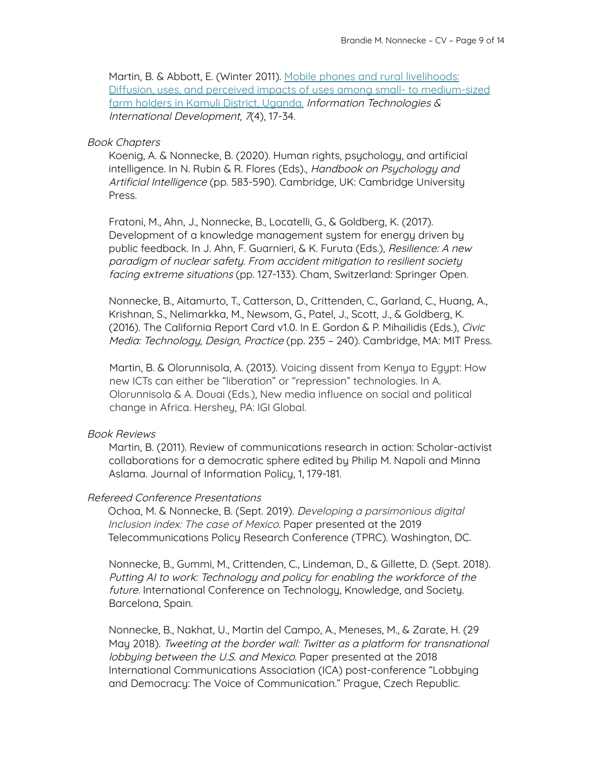Martin, B. & Abbott, E. (Winter 2011). Mobile phones and rural [livelihoods:](https://itidjournal.org/index.php/itid/article/view/789.html) Diffusion, uses, and perceived impacts of uses among small- to [medium-sized](https://itidjournal.org/index.php/itid/article/view/789.html) farm holders in Kamuli District, [Uganda.](https://itidjournal.org/index.php/itid/article/view/789.html) Information Technologies & International Development, 7(4), 17-34.

#### Book Chapters

Koenig, A. & Nonnecke, B. (2020). Human rights, psychology, and artificial intelligence. In N. Rubin & R. Flores (Eds)., Handbook on Psychology and Artificial Intelligence (pp. 583-590). Cambridge, UK: Cambridge University Press.

Fratoni, M., Ahn, J., Nonnecke, B., Locatelli, G., & Goldberg, K. (2017). Development of a knowledge management system for energy driven by public feedback. In J. Ahn, F. Guarnieri, & K. Furuta (Eds.), Resilience: A new paradigm of nuclear safety. From accident mitigation to resilient society facing extreme situations (pp. 127-133). Cham, Switzerland: Springer Open.

Nonnecke, B., Aitamurto, T., Catterson, D., Crittenden, C., Garland, C., Huang, A., Krishnan, S., Nelimarkka, M., Newsom, G., Patel, J., Scott, J., & Goldberg, K. (2016). The California Report Card v1.0. In E. Gordon & P. Mihailidis (Eds.), Civic Media: Technology, Design, Practice (pp. 235 – 240). Cambridge, MA: MIT Press.

Martin, B. & Olorunnisola, A. (2013). Voicing dissent from Kenya to Egypt: How new ICTs can either be "liberation" or "repression" technologies. In A. Olorunnisola & A. Douai (Eds.), New media influence on social and political change in Africa. Hershey, PA: IGI Global.

#### Book Reviews

Martin, B. (2011). Review of communications research in action: Scholar-activist collaborations for a democratic sphere edited by Philip M. Napoli and Minna Aslama. Journal of Information Policy, 1, 179-181.

#### Refereed Conference Presentations

Ochoa, M. & Nonnecke, B. (Sept. 2019). Developing <sup>a</sup> parsimonious digital Inclusion index: The case of Mexico. Paper presented at the 2019 Telecommunications Policy Research Conference (TPRC). Washington, DC.

Nonnecke, B., Gummi, M., Crittenden, C., Lindeman, D., & Gillette, D. (Sept. 2018). Putting AI to work: Technology and policy for enabling the workforce of the future. International Conference on Technology, Knowledge, and Society. Barcelona, Spain.

Nonnecke, B., Nakhat, U., Martin del Campo, A., Meneses, M., & Zarate, H. (29 May 2018). Tweeting at the border wall: Twitter as <sup>a</sup> platform for transnational lobbying between the U.S. and Mexico. Paper presented at the 2018 International Communications Association (ICA) post-conference "Lobbying and Democracy: The Voice of Communication." Prague, Czech Republic.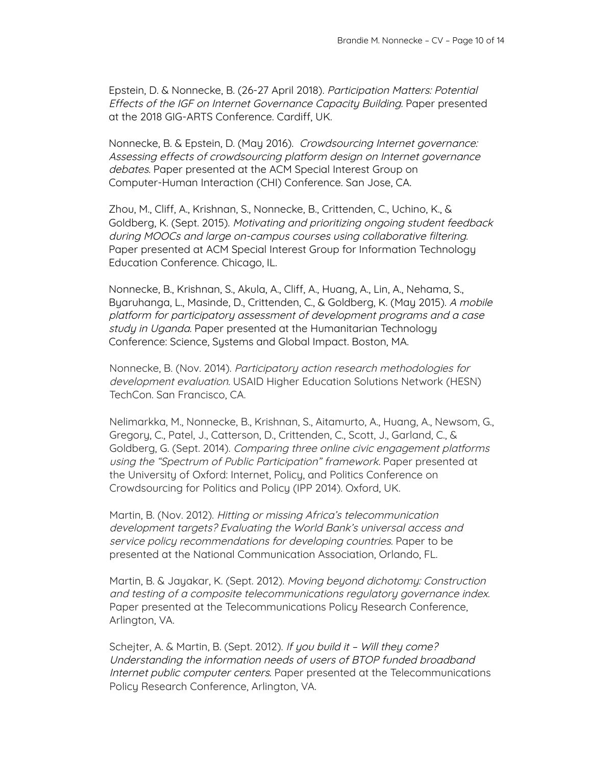Epstein, D. & Nonnecke, B. (26-27 April 2018). Participation Matters: Potential Effects of the IGF on Internet Governance Capacity Building. Paper presented at the 2018 GIG-ARTS Conference. Cardiff, UK.

Nonnecke, B. & Epstein, D. (May 2016). Crowdsourcing Internet governance: Assessing effects of crowdsourcing platform design on Internet governance debates. Paper presented at the ACM Special Interest Group on Computer-Human Interaction (CHI) Conference. San Jose, CA.

Zhou, M., Cliff, A., Krishnan, S., Nonnecke, B., Crittenden, C., Uchino, K., & Goldberg, K. (Sept. 2015). Motivating and prioritizing ongoing student feedback during MOOCs and large on-campus courses using collaborative filtering. Paper presented at ACM Special Interest Group for Information Technology Education Conference. Chicago, IL.

Nonnecke, B., Krishnan, S., Akula, A., Cliff, A., Huang, A., Lin, A., Nehama, S., Byaruhanga, L., Masinde, D., Crittenden, C., & Goldberg, K. (May 2015). A mobile platform for participatory assessment of development programs and <sup>a</sup> case study in Uganda. Paper presented at the Humanitarian Technology Conference: Science, Systems and Global Impact. Boston, MA.

Nonnecke, B. (Nov. 2014). Participatory action research methodologies for development evaluation. USAID Higher Education Solutions Network (HESN) TechCon. San Francisco, CA.

Nelimarkka, M., Nonnecke, B., Krishnan, S., Aitamurto, A., Huang, A., Newsom, G., Gregory, C., Patel, J., Catterson, D., Crittenden, C., Scott, J., Garland, C., & Goldberg, G. (Sept. 2014). Comparing three online civic engagement platforms using the "Spectrum of Public Participation" framework. Paper presented at the University of Oxford: Internet, Policy, and Politics Conference on Crowdsourcing for Politics and Policy (IPP 2014). Oxford, UK.

Martin, B. (Nov. 2012). Hitting or missing Africa's telecommunication development targets? Evaluating the World Bank's universal access and service policy recommendations for developing countries. Paper to be presented at the National Communication Association, Orlando, FL.

Martin, B. & Jayakar, K. (Sept. 2012). Moving beyond dichotomy: Construction and testing of <sup>a</sup> composite telecommunications regulatory governance index. Paper presented at the Telecommunications Policy Research Conference, Arlington, VA.

Schejter, A. & Martin, B. (Sept. 2012). If you build it - Will they come? Understanding the information needs of users of BTOP funded broadband Internet public computer centers. Paper presented at the Telecommunications Policy Research Conference, Arlington, VA.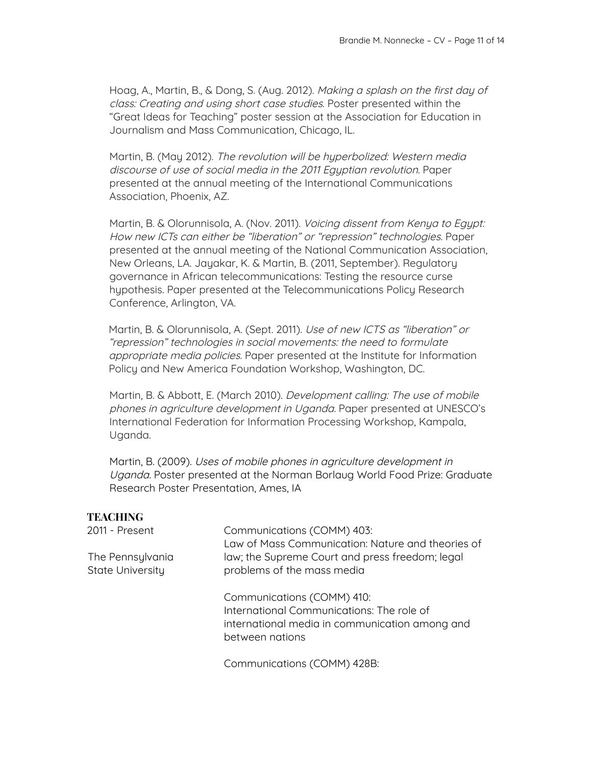Hoag, A., Martin, B., & Dong, S. (Aug. 2012). Making <sup>a</sup> splash on the first day of class: Creating and using short case studies. Poster presented within the "Great Ideas for Teaching" poster session at the Association for Education in Journalism and Mass Communication, Chicago, IL.

Martin, B. (May 2012). The revolution will be hyperbolized: Western media discourse of use of social media in the 2011 Egyptian revolution. Paper presented at the annual meeting of the International Communications Association, Phoenix, AZ.

Martin, B. & Olorunnisola, A. (Nov. 2011). Voicing dissent from Kenya to Egypt: How new ICTs can either be "liberation" or "repression" technologies. Paper presented at the annual meeting of the National Communication Association, New Orleans, LA. Jayakar, K. & Martin, B. (2011, September). Regulatory governance in African telecommunications: Testing the resource curse hypothesis. Paper presented at the Telecommunications Policy Research Conference, Arlington, VA.

Martin, B. & Olorunnisola, A. (Sept. 2011). Use of new ICTS as "liberation" or "repression" technologies in social movements: the need to formulate appropriate media policies. Paper presented at the Institute for Information Policy and New America Foundation Workshop, Washington, DC.

Martin, B. & Abbott, E. (March 2010). Development calling: The use of mobile phones in agriculture development in Uganda. Paper presented at UNESCO's International Federation for Information Processing Workshop, Kampala, Uganda.

Martin, B. (2009). Uses of mobile phones in agriculture development in Uganda. Poster presented at the Norman Borlaug World Food Prize: Graduate Research Poster Presentation, Ames, IA

## **TEACHING**

| 2011 - Present                       | Communications (COMM) 403:<br>Law of Mass Communication: Nature and theories of                                                              |
|--------------------------------------|----------------------------------------------------------------------------------------------------------------------------------------------|
| The Pennsylvania<br>State University | law; the Supreme Court and press freedom; legal<br>problems of the mass media                                                                |
|                                      | Communications (COMM) 410:<br>International Communications: The role of<br>international media in communication among and<br>between nations |
|                                      | Communications (COMM) 428B:                                                                                                                  |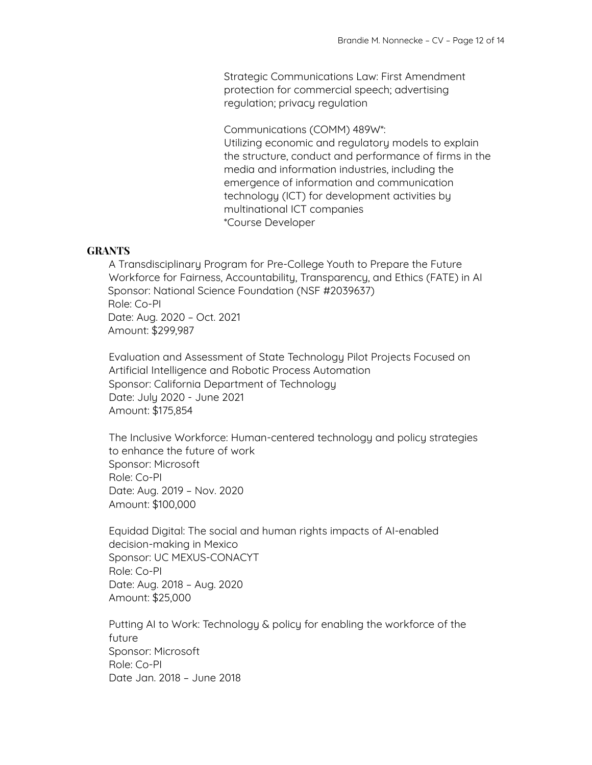Strategic Communications Law: First Amendment protection for commercial speech; advertising regulation; privacy regulation

Communications (COMM) 489W\*: Utilizing economic and regulatory models to explain the structure, conduct and performance of firms in the media and information industries, including the emergence of information and communication technology (ICT) for development activities by multinational ICT companies \*Course Developer

### **GRANTS**

A Transdisciplinary Program for Pre-College Youth to Prepare the Future Workforce for Fairness, Accountability, Transparency, and Ethics (FATE) in AI Sponsor: National Science Foundation (NSF #2039637) Role: Co-PI Date: Aug. 2020 – Oct. 2021 Amount: \$299,987

Evaluation and Assessment of State Technology Pilot Projects Focused on Artificial Intelligence and Robotic Process Automation Sponsor: California Department of Technology Date: July 2020 - June 2021 Amount: \$175,854

The Inclusive Workforce: Human-centered technology and policy strategies to enhance the future of work Sponsor: Microsoft Role: Co-PI Date: Aug. 2019 – Nov. 2020 Amount: \$100,000

Equidad Digital: The social and human rights impacts of AI-enabled decision-making in Mexico Sponsor: UC MEXUS-CONACYT Role: Co-PI Date: Aug. 2018 – Aug. 2020 Amount: \$25,000

Putting AI to Work: Technology & policy for enabling the workforce of the future Sponsor: Microsoft Role: Co-PI Date Jan. 2018 – June 2018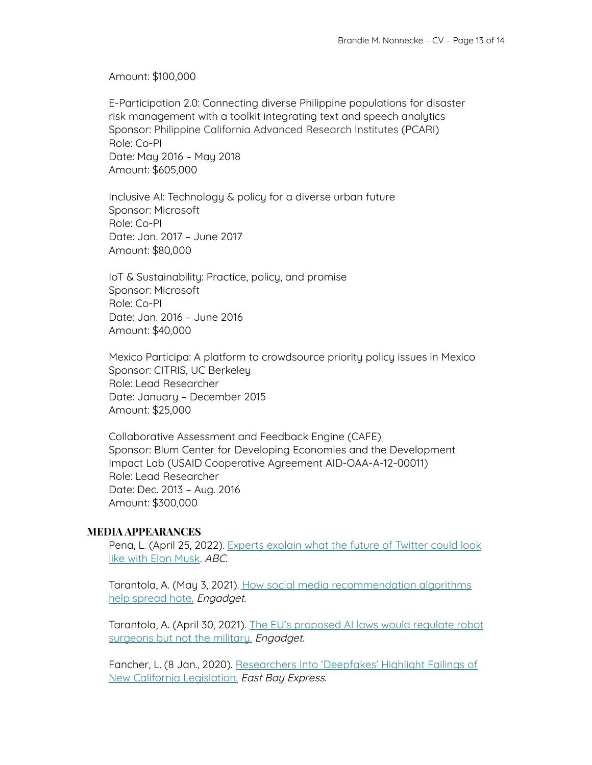Amount: \$100,000

E-Participation 2.0: Connecting diverse Philippine populations for disaster risk management with a toolkit integrating text and speech analytics Sponsor: Philippine California Advanced Research Institutes (PCARI) Role: Co-PI Date: May 2016 – May 2018 Amount: \$605,000

Inclusive AI: Technology & policy for a diverse urban future Sponsor: Microsoft Role: Co-PI Date: Jan. 2017 – June 2017 Amount: \$80,000

IoT & Sustainability: Practice, policy, and promise Sponsor: Microsoft Role: Co-PI Date: Jan. 2016 – June 2016 Amount: \$40,000

Mexico Participa: A platform to crowdsource priority policy issues in Mexico Sponsor: CITRIS, UC Berkeley Role: Lead Researcher Date: January – December 2015 Amount: \$25,000

Collaborative Assessment and Feedback Engine (CAFE) Sponsor: Blum Center for Developing Economies and the Development Impact Lab (USAID Cooperative Agreement AID-OAA-A-12-00011) Role: Lead Researcher Date: Dec. 2013 – Aug. 2016 Amount: \$300,000

## **MEDIA APPEARANCES**

Pena, L. (April 25, 2022). [Experts](https://abc7news.com/twitter-elon-musk-new-changes-free-speech/11791291/) explain what the future of Twitter could look like with Elon [Musk.](https://abc7news.com/twitter-elon-musk-new-changes-free-speech/11791291/) ABC.

Tarantola, A. (May 3, 2021). How social media [recommendation](https://www.engadget.com/how-social-media-recommendation-algorithms-help-spread-online-hate-180032029.html) algorithms help [spread](https://www.engadget.com/how-social-media-recommendation-algorithms-help-spread-online-hate-180032029.html) hate. Engadget.

Tarantola, A. (April 30, 2021). The EU's [proposed](https://www.engadget.com/eu-proposed-ai-laws-would-regulate-robosurgeons-but-not-military-killbots-160040910.html) AI laws would regulate robot [surgeons](https://www.engadget.com/eu-proposed-ai-laws-would-regulate-robosurgeons-but-not-military-killbots-160040910.html) but not the military. Engadget.

Fancher, L. (8 Jan., 2020). [Researchers](https://www.eastbayexpress.com/oakland/researchers-into-deepfakes-highlight-failings-of-new-california-legislation/Content?oid=28371926) Into 'Deepfakes' Highlight Failings of New California [Legislation.](https://www.eastbayexpress.com/oakland/researchers-into-deepfakes-highlight-failings-of-new-california-legislation/Content?oid=28371926) East Bay Express.